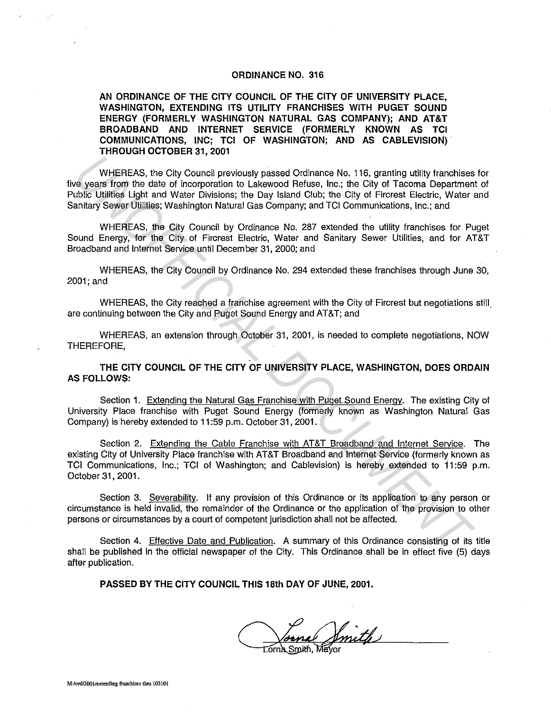## **ORDINANCE NO. 316**

**AN ORDINANCE OF THE CITY COUNCIL OF THE CITY OF UNIVERSITY PLACE, WASHINGTON, EXTENDING ITS UTILITY FRANCHISES WITH PUGET SOUND ENERGY (FORMERLY WASHINGTON NATURAL GAS COMPANY); AND AT&T BROADBAND AND INTERNET SERVICE (FORMERLY KNOWN AS TCI COMMUNICATIONS, INC; TCI OF WASHINGTON; AND AS CABLEVISION) THROUGH OCTOBER 31, 2001** 

WHEREAS, the City Council previously passed Ordinance No. 116, granting utility franchises for five years from the date of incorporation to Lakewood Refuse, Inc.; the City of Tacoma Department of Public Utilities Light and Water Divisions; the Day Island Club; the City of Fircrest Electric, Water and Sanitary Sewer Utilities; Washington Natural Gas Company; and TCI Communications, Inc.; and WHEREAS, the City Council previously passed Ordinance No. 118, granting utility franchises<br>was from the date of incorporation to Lakewood Reluse, Inc.; the City of Tacoma Department<br>ubits UNIMES Light and Water Dwistons; t

WHEREAS, the City Council by Ordinance No. 287 extended the utility franchises for Puget Sound Energy, for the City of Fircrest Electric, Water and Sanitary Sewer Utilities, and for AT&T Broadband and Internet Service until December 31, 2000; and

WHEREAS, the City Council by Ordinance No. 294 extended these franchises through June 30, 2001;and

WHEREAS, the City reached a franchise agreement with the City of Fircrest but negotiations still. are continuing between the City and Puget Sound Energy and AT&T; and

WHEREAS, an extension through October 31, 2001, is needed to complete negotiations, NOW THEREFORE,

**THE CITY COUNCIL OF THE CITY OF UNIVERSITY PLACE, WASHINGTON, DOES ORDAIN AS FOLLOWS:** 

Section **1.** Extending the Natural Gas Franchise with Puget Sound Energy. The existing City of University Place franchise with Puget Sound Energy (formerly known as Washington Natural Gas Company) is hereby extended to 11 :59 p.m. October 31, 2001.

Section 2. Extending the Cable Franchise with AT&T Broadband and Internet Service. The existing City of University Place franchise with AT&T Broadband and Internet Service (formerly known as TCI Communications, Inc.; TCI of Washington; and Cablevision) is hereby extended to 11 :59 p.m. October 31, 2001.

Section 3. Severability. If any provision of this Ordinance or its application to any person or circumstance is held invalid, the remainder of the Ordinance or the application of the provision to other persons or circumstances by a court of competent jurisdiction shall not be affected.

Section 4. Effective Date and Publication. A summary of this Ordinance consisting of its title shall be published in the official newspaper of the City. This Ordinance shall be in effect five (5) days after publication.

**PASSED BY THE CITY COUNCIL THIS 18th DAY OF JUNE, 2001.** 

a Smith **Torna Smith, Ma** 

i.,